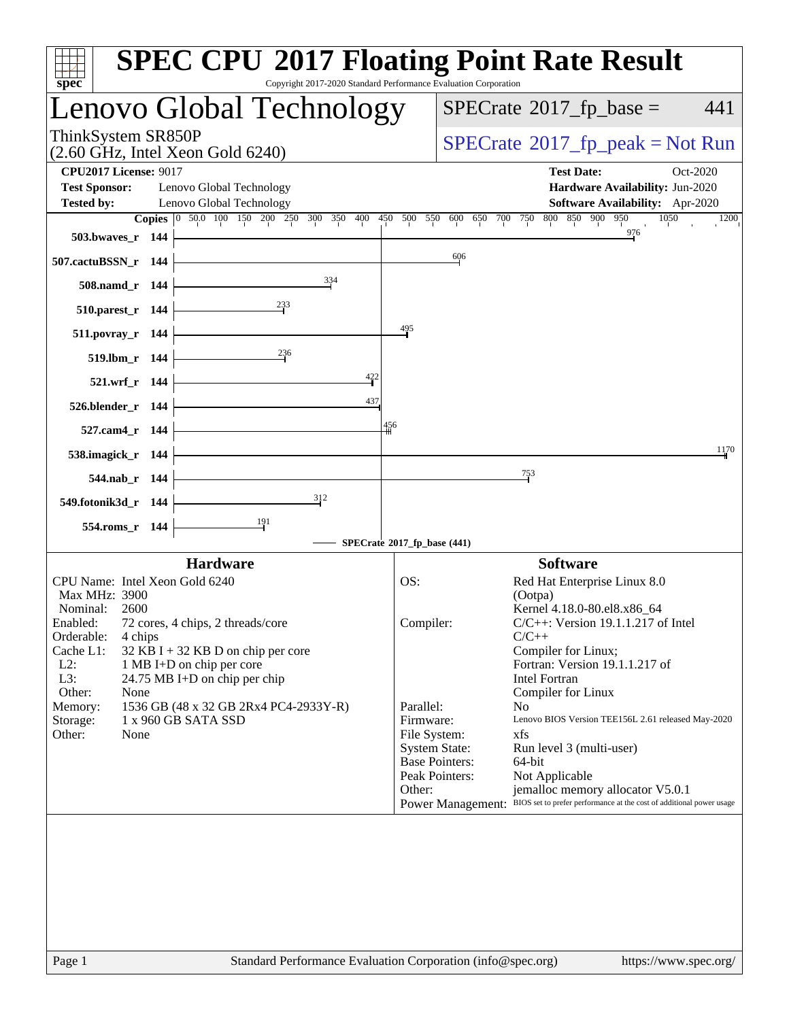| spec <sup>®</sup>                                                                                                                                                                                                                                                                                                                                         | <b>SPEC CPU®2017 Floating Point Rate Result</b><br>Copyright 2017-2020 Standard Performance Evaluation Corporation                                                                                                                                                                                                                                                                                                                                                                                                                                                                       |
|-----------------------------------------------------------------------------------------------------------------------------------------------------------------------------------------------------------------------------------------------------------------------------------------------------------------------------------------------------------|------------------------------------------------------------------------------------------------------------------------------------------------------------------------------------------------------------------------------------------------------------------------------------------------------------------------------------------------------------------------------------------------------------------------------------------------------------------------------------------------------------------------------------------------------------------------------------------|
| Lenovo Global Technology                                                                                                                                                                                                                                                                                                                                  | $SPECrate^{\circ}2017$ _fp_base =<br>441                                                                                                                                                                                                                                                                                                                                                                                                                                                                                                                                                 |
| ThinkSystem SR850P<br>$(2.60 \text{ GHz}, \text{Intel Xeon Gold } 6240)$                                                                                                                                                                                                                                                                                  | $SPECrate^{\circ}2017rfp peak = Not Run$                                                                                                                                                                                                                                                                                                                                                                                                                                                                                                                                                 |
| <b>CPU2017 License: 9017</b><br><b>Test Sponsor:</b><br>Lenovo Global Technology<br><b>Tested by:</b><br>Lenovo Global Technology                                                                                                                                                                                                                         | <b>Test Date:</b><br>Oct-2020<br>Hardware Availability: Jun-2020<br>Software Availability: Apr-2020<br>Copies 0 50.0 100 150 200 250 300 350 400 450 500 550 600 650 700 750 800 850 900 950<br>1050<br>1200                                                                                                                                                                                                                                                                                                                                                                             |
| 503.bwaves_r $144$                                                                                                                                                                                                                                                                                                                                        | 976                                                                                                                                                                                                                                                                                                                                                                                                                                                                                                                                                                                      |
| 507.cactuBSSN_r 144                                                                                                                                                                                                                                                                                                                                       | 606                                                                                                                                                                                                                                                                                                                                                                                                                                                                                                                                                                                      |
| 334<br>$508$ .namd_r 144                                                                                                                                                                                                                                                                                                                                  |                                                                                                                                                                                                                                                                                                                                                                                                                                                                                                                                                                                          |
| 510.parest_r $144$                                                                                                                                                                                                                                                                                                                                        |                                                                                                                                                                                                                                                                                                                                                                                                                                                                                                                                                                                          |
| $511.povray_r$ 144                                                                                                                                                                                                                                                                                                                                        | 495                                                                                                                                                                                                                                                                                                                                                                                                                                                                                                                                                                                      |
| 236<br>$519. lbm_r 144$                                                                                                                                                                                                                                                                                                                                   |                                                                                                                                                                                                                                                                                                                                                                                                                                                                                                                                                                                          |
| $\frac{422}{1}$<br>$521.wrf_r 144$                                                                                                                                                                                                                                                                                                                        |                                                                                                                                                                                                                                                                                                                                                                                                                                                                                                                                                                                          |
| 437<br>$526.$ blender_r 144 $\vdash$                                                                                                                                                                                                                                                                                                                      |                                                                                                                                                                                                                                                                                                                                                                                                                                                                                                                                                                                          |
| 527.cam4_r 144 $\vdash$                                                                                                                                                                                                                                                                                                                                   | 456                                                                                                                                                                                                                                                                                                                                                                                                                                                                                                                                                                                      |
| 538.imagick_r 144                                                                                                                                                                                                                                                                                                                                         | 1170                                                                                                                                                                                                                                                                                                                                                                                                                                                                                                                                                                                     |
| 544.nab_r $144$                                                                                                                                                                                                                                                                                                                                           | $\frac{753}{2}$                                                                                                                                                                                                                                                                                                                                                                                                                                                                                                                                                                          |
| 312<br>549.fotonik3d_r $144$                                                                                                                                                                                                                                                                                                                              |                                                                                                                                                                                                                                                                                                                                                                                                                                                                                                                                                                                          |
| 554.roms_r 144                                                                                                                                                                                                                                                                                                                                            |                                                                                                                                                                                                                                                                                                                                                                                                                                                                                                                                                                                          |
|                                                                                                                                                                                                                                                                                                                                                           | SPECrate®2017_fp_base (441)                                                                                                                                                                                                                                                                                                                                                                                                                                                                                                                                                              |
| <b>Hardware</b>                                                                                                                                                                                                                                                                                                                                           | <b>Software</b>                                                                                                                                                                                                                                                                                                                                                                                                                                                                                                                                                                          |
| CPU Name: Intel Xeon Gold 6240<br>Max MHz: 3900                                                                                                                                                                                                                                                                                                           | OS:<br>Red Hat Enterprise Linux 8.0<br>(Ootpa)                                                                                                                                                                                                                                                                                                                                                                                                                                                                                                                                           |
| Nominal:<br>2600<br>Enabled:<br>72 cores, 4 chips, 2 threads/core<br>Orderable:<br>4 chips<br>Cache L1:<br>$32$ KB I + 32 KB D on chip per core<br>$L2$ :<br>1 MB I+D on chip per core<br>L3:<br>24.75 MB I+D on chip per chip<br>Other:<br>None<br>1536 GB (48 x 32 GB 2Rx4 PC4-2933Y-R)<br>Memory:<br>1 x 960 GB SATA SSD<br>Storage:<br>Other:<br>None | Kernel 4.18.0-80.el8.x86_64<br>$C/C++$ : Version 19.1.1.217 of Intel<br>Compiler:<br>$C/C++$<br>Compiler for Linux;<br>Fortran: Version 19.1.1.217 of<br>Intel Fortran<br>Compiler for Linux<br>Parallel:<br>N <sub>0</sub><br>Firmware:<br>Lenovo BIOS Version TEE156L 2.61 released May-2020<br>File System:<br>xfs<br><b>System State:</b><br>Run level 3 (multi-user)<br><b>Base Pointers:</b><br>64-bit<br>Peak Pointers:<br>Not Applicable<br>Other:<br>jemalloc memory allocator V5.0.1<br>Power Management: BIOS set to prefer performance at the cost of additional power usage |
|                                                                                                                                                                                                                                                                                                                                                           |                                                                                                                                                                                                                                                                                                                                                                                                                                                                                                                                                                                          |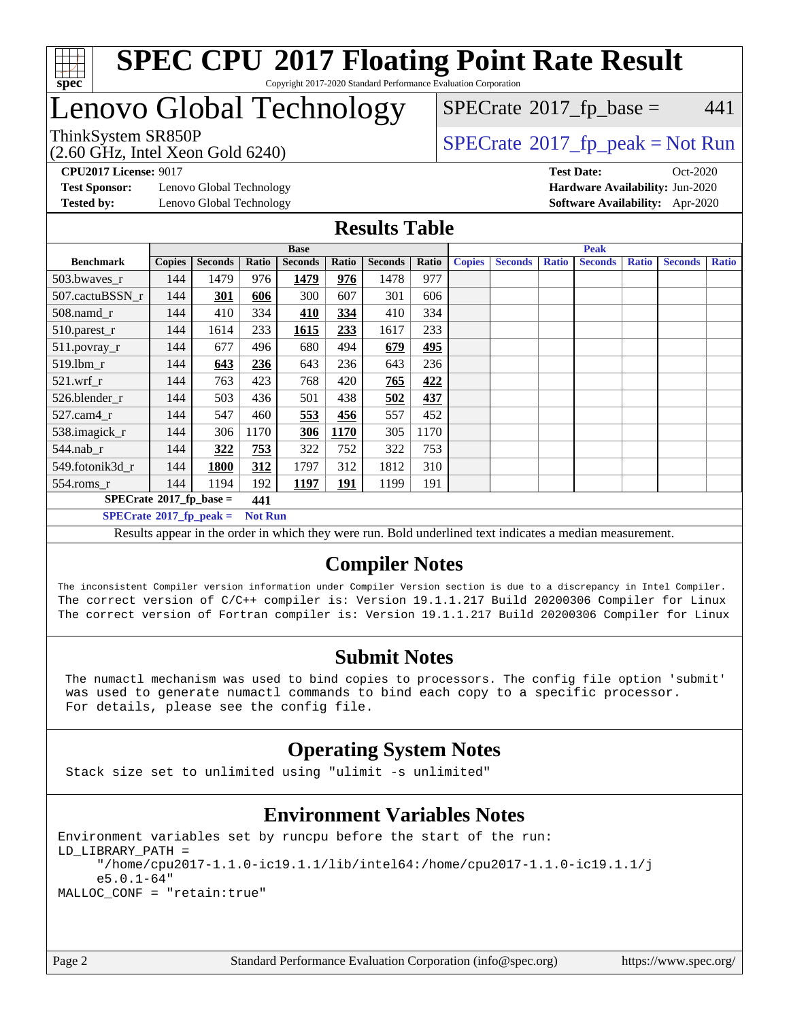

### Lenovo Global Technology

(2.60 GHz, Intel Xeon Gold 6240)

ThinkSystem SR850P<br>  $\begin{array}{c}\n\text{SPECTB} \\
\text{SPECTB} \\
\text{SPECTB} \\
\text{SPECTB} \\
\text{SPECTB} \\
\text{SPECTB} \\
\text{SPECTB} \\
\text{SPECTB} \\
\text{SPECTB} \\
\text{SPECTB} \\
\text{SPECTB} \\
\text{SPECTB} \\
\text{SPECTB} \\
\text{SPECTB} \\
\text{SPECTB} \\
\text{SPECTB} \\
\text{SPECTB} \\
\text{SPECTB} \\
\text{SPECTB} \\
\text{SPECTB} \\
\text{SPECTB} \\
\text{SPECTB} \\
\text{SISTB} \\
\text{SISTB} \\$  $SPECTate$ <sup>®</sup>[2017\\_fp\\_base =](http://www.spec.org/auto/cpu2017/Docs/result-fields.html#SPECrate2017fpbase) 441

**[Test Sponsor:](http://www.spec.org/auto/cpu2017/Docs/result-fields.html#TestSponsor)** Lenovo Global Technology **[Hardware Availability:](http://www.spec.org/auto/cpu2017/Docs/result-fields.html#HardwareAvailability)** Jun-2020 **[Tested by:](http://www.spec.org/auto/cpu2017/Docs/result-fields.html#Testedby)** Lenovo Global Technology **[Software Availability:](http://www.spec.org/auto/cpu2017/Docs/result-fields.html#SoftwareAvailability)** Apr-2020

**[CPU2017 License:](http://www.spec.org/auto/cpu2017/Docs/result-fields.html#CPU2017License)** 9017 **[Test Date:](http://www.spec.org/auto/cpu2017/Docs/result-fields.html#TestDate)** Oct-2020

#### **[Results Table](http://www.spec.org/auto/cpu2017/Docs/result-fields.html#ResultsTable)**

| <b>Base</b>                                                                                                                                 |               |                |       | <b>Peak</b>    |            |                |       |               |                |              |                |              |                |              |
|---------------------------------------------------------------------------------------------------------------------------------------------|---------------|----------------|-------|----------------|------------|----------------|-------|---------------|----------------|--------------|----------------|--------------|----------------|--------------|
| <b>Benchmark</b>                                                                                                                            | <b>Copies</b> | <b>Seconds</b> | Ratio | <b>Seconds</b> | Ratio      | <b>Seconds</b> | Ratio | <b>Copies</b> | <b>Seconds</b> | <b>Ratio</b> | <b>Seconds</b> | <b>Ratio</b> | <b>Seconds</b> | <b>Ratio</b> |
| 503.bwayes_r                                                                                                                                | 144           | 1479           | 976   | 1479           | 976        | 1478           | 977   |               |                |              |                |              |                |              |
| 507.cactuBSSN r                                                                                                                             | 144           | 301            | 606   | 300            | 607        | 301            | 606   |               |                |              |                |              |                |              |
| $508$ .namd $r$                                                                                                                             | 144           | 410            | 334   | 410            | 334        | 410            | 334   |               |                |              |                |              |                |              |
| 510.parest_r                                                                                                                                | 144           | 1614           | 233   | 1615           | 233        | 1617           | 233   |               |                |              |                |              |                |              |
| 511.povray_r                                                                                                                                | 144           | 677            | 496   | 680            | 494        | 679            | 495   |               |                |              |                |              |                |              |
| 519.lbm r                                                                                                                                   | 144           | 643            | 236   | 643            | 236        | 643            | 236   |               |                |              |                |              |                |              |
| $521$ .wrf r                                                                                                                                | 144           | 763            | 423   | 768            | 420        | 765            | 422   |               |                |              |                |              |                |              |
| 526.blender r                                                                                                                               | 144           | 503            | 436   | 501            | 438        | 502            | 437   |               |                |              |                |              |                |              |
| 527.cam4 r                                                                                                                                  | 144           | 547            | 460   | 553            | 456        | 557            | 452   |               |                |              |                |              |                |              |
| 538.imagick_r                                                                                                                               | 144           | 306            | 1170  | 306            | 1170       | 305            | 1170  |               |                |              |                |              |                |              |
| $544$ .nab_r                                                                                                                                | 144           | 322            | 753   | 322            | 752        | 322            | 753   |               |                |              |                |              |                |              |
| 549.fotonik3d_r                                                                                                                             | 144           | 1800           | 312   | 1797           | 312        | 1812           | 310   |               |                |              |                |              |                |              |
| $554$ .roms_r                                                                                                                               | 144           | 1194           | 192   | 1197           | <u>191</u> | 1199           | 191   |               |                |              |                |              |                |              |
| $SPECrate*2017_fp\_base =$<br>441                                                                                                           |               |                |       |                |            |                |       |               |                |              |                |              |                |              |
| $SPECrate^{\circ}2017$ fp peak =<br><b>Not Run</b>                                                                                          |               |                |       |                |            |                |       |               |                |              |                |              |                |              |
| <b>PERSONAL PROPERTY AND INCOME.</b><br>$\cdot$<br><b>All States</b><br>$\mathbf{r}$<br>1.1.1.1<br>$T = 11$<br>$\mathbf{r}$<br>$\mathbf{u}$ |               |                |       |                |            |                |       |               |                |              |                |              |                |              |

Results appear in the [order in which they were run](http://www.spec.org/auto/cpu2017/Docs/result-fields.html#RunOrder). Bold underlined text [indicates a median measurement.](http://www.spec.org/auto/cpu2017/Docs/result-fields.html#Median)

### **[Compiler Notes](http://www.spec.org/auto/cpu2017/Docs/result-fields.html#CompilerNotes)**

The inconsistent Compiler version information under Compiler Version section is due to a discrepancy in Intel Compiler. The correct version of C/C++ compiler is: Version 19.1.1.217 Build 20200306 Compiler for Linux The correct version of Fortran compiler is: Version 19.1.1.217 Build 20200306 Compiler for Linux

### **[Submit Notes](http://www.spec.org/auto/cpu2017/Docs/result-fields.html#SubmitNotes)**

 The numactl mechanism was used to bind copies to processors. The config file option 'submit' was used to generate numactl commands to bind each copy to a specific processor. For details, please see the config file.

### **[Operating System Notes](http://www.spec.org/auto/cpu2017/Docs/result-fields.html#OperatingSystemNotes)**

Stack size set to unlimited using "ulimit -s unlimited"

### **[Environment Variables Notes](http://www.spec.org/auto/cpu2017/Docs/result-fields.html#EnvironmentVariablesNotes)**

Environment variables set by runcpu before the start of the run: LD\_LIBRARY\_PATH = "/home/cpu2017-1.1.0-ic19.1.1/lib/intel64:/home/cpu2017-1.1.0-ic19.1.1/j e5.0.1-64" MALLOC\_CONF = "retain:true"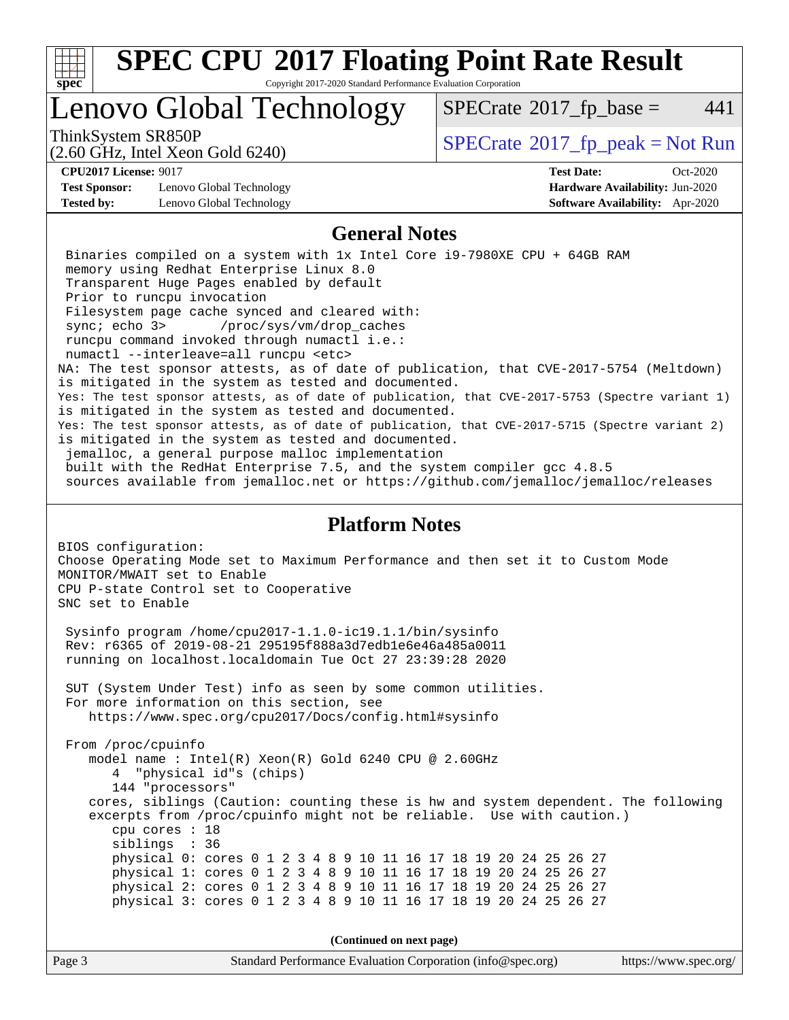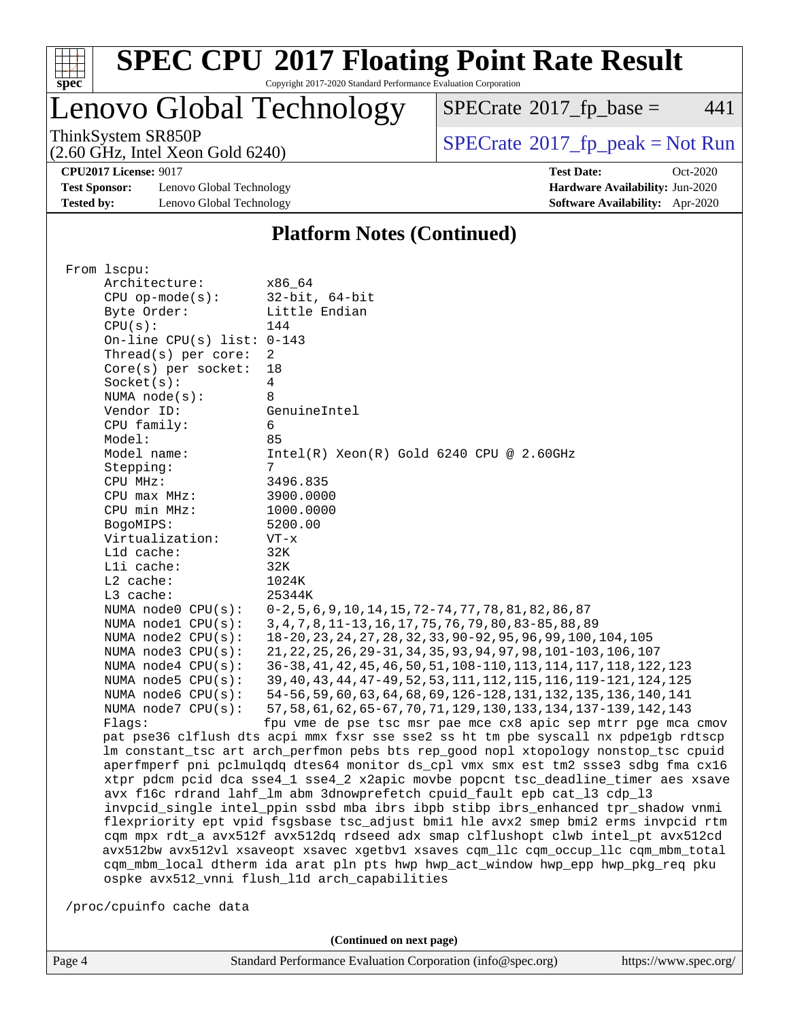

# **[SPEC CPU](http://www.spec.org/auto/cpu2017/Docs/result-fields.html#SPECCPU2017FloatingPointRateResult)[2017 Floating Point Rate Result](http://www.spec.org/auto/cpu2017/Docs/result-fields.html#SPECCPU2017FloatingPointRateResult)**

Copyright 2017-2020 Standard Performance Evaluation Corporation

Lenovo Global Technology

 $SPECrate^{\circledast}2017_fp\_base = 441$  $SPECrate^{\circledast}2017_fp\_base = 441$ 

(2.60 GHz, Intel Xeon Gold 6240)

ThinkSystem SR850P<br>  $(2.60 \text{ GHz})$  Intel Xeon Gold 6240)

**[CPU2017 License:](http://www.spec.org/auto/cpu2017/Docs/result-fields.html#CPU2017License)** 9017 **[Test Date:](http://www.spec.org/auto/cpu2017/Docs/result-fields.html#TestDate)** Oct-2020

**[Test Sponsor:](http://www.spec.org/auto/cpu2017/Docs/result-fields.html#TestSponsor)** Lenovo Global Technology **[Hardware Availability:](http://www.spec.org/auto/cpu2017/Docs/result-fields.html#HardwareAvailability)** Jun-2020 **[Tested by:](http://www.spec.org/auto/cpu2017/Docs/result-fields.html#Testedby)** Lenovo Global Technology **[Software Availability:](http://www.spec.org/auto/cpu2017/Docs/result-fields.html#SoftwareAvailability)** Apr-2020

#### **[Platform Notes \(Continued\)](http://www.spec.org/auto/cpu2017/Docs/result-fields.html#PlatformNotes)**

| From 1scpu:                                    |                                                                                                                                       |
|------------------------------------------------|---------------------------------------------------------------------------------------------------------------------------------------|
| Architecture:                                  | x86 64                                                                                                                                |
| $CPU$ op-mode( $s$ ):                          | $32$ -bit, $64$ -bit                                                                                                                  |
| Byte Order:                                    | Little Endian                                                                                                                         |
| CPU(s):                                        | 144                                                                                                                                   |
| On-line CPU(s) list: $0-143$                   |                                                                                                                                       |
| Thread( $s$ ) per core:                        | $\overline{2}$                                                                                                                        |
| $Core(s)$ per socket:                          | 18                                                                                                                                    |
| Socket(s):                                     | $\overline{4}$                                                                                                                        |
| NUMA $node(s):$                                | 8                                                                                                                                     |
| Vendor ID:                                     | GenuineIntel                                                                                                                          |
| CPU family:                                    | 6                                                                                                                                     |
| Model:                                         | 85                                                                                                                                    |
| Model name:                                    | $Intel(R) Xeon(R) Gold 6240 CPU @ 2.60GHz$                                                                                            |
| Stepping:                                      | 7                                                                                                                                     |
| CPU MHz:                                       | 3496.835                                                                                                                              |
| CPU max MHz:                                   | 3900.0000                                                                                                                             |
| CPU min MHz:                                   | 1000.0000                                                                                                                             |
| BogoMIPS:                                      | 5200.00                                                                                                                               |
| Virtualization:                                | $VT - x$                                                                                                                              |
| L1d cache:                                     | 32K                                                                                                                                   |
| Lli cache:                                     | 32K                                                                                                                                   |
| L2 cache:                                      | 1024K                                                                                                                                 |
| L3 cache:                                      | 25344K                                                                                                                                |
|                                                |                                                                                                                                       |
| NUMA node0 CPU(s):                             | $0-2, 5, 6, 9, 10, 14, 15, 72-74, 77, 78, 81, 82, 86, 87$<br>3, 4, 7, 8, 11-13, 16, 17, 75, 76, 79, 80, 83-85, 88, 89                 |
| NUMA nodel CPU(s):<br>NUMA node2 CPU(s):       |                                                                                                                                       |
|                                                | 18-20, 23, 24, 27, 28, 32, 33, 90-92, 95, 96, 99, 100, 104, 105<br>21, 22, 25, 26, 29-31, 34, 35, 93, 94, 97, 98, 101-103, 106, 107   |
| NUMA $node3$ CPU $(s)$ :<br>NUMA node4 CPU(s): | 36-38, 41, 42, 45, 46, 50, 51, 108-110, 113, 114, 117, 118, 122, 123                                                                  |
|                                                | 39, 40, 43, 44, 47-49, 52, 53, 111, 112, 115, 116, 119-121, 124, 125                                                                  |
| NUMA $node5$ $CPU(s):$                         | 54-56, 59, 60, 63, 64, 68, 69, 126-128, 131, 132, 135, 136, 140, 141                                                                  |
| NUMA node6 CPU(s):                             |                                                                                                                                       |
| NUMA $node7$ CPU $(s)$ :<br>Flaqs:             | 57, 58, 61, 62, 65-67, 70, 71, 129, 130, 133, 134, 137-139, 142, 143<br>fpu vme de pse tsc msr pae mce cx8 apic sep mtrr pge mca cmov |
|                                                | pat pse36 clflush dts acpi mmx fxsr sse sse2 ss ht tm pbe syscall nx pdpe1qb rdtscp                                                   |
|                                                | lm constant_tsc art arch_perfmon pebs bts rep_good nopl xtopology nonstop_tsc cpuid                                                   |
|                                                | aperfmperf pni pclmulqdq dtes64 monitor ds_cpl vmx smx est tm2 ssse3 sdbg fma cx16                                                    |
|                                                | xtpr pdcm pcid dca sse4_1 sse4_2 x2apic movbe popcnt tsc_deadline_timer aes xsave                                                     |
|                                                | avx f16c rdrand lahf_lm abm 3dnowprefetch cpuid_fault epb cat_13 cdp_13                                                               |
|                                                | invpcid_single intel_ppin ssbd mba ibrs ibpb stibp ibrs_enhanced tpr_shadow vnmi                                                      |
|                                                | flexpriority ept vpid fsgsbase tsc_adjust bmil hle avx2 smep bmi2 erms invpcid rtm                                                    |
|                                                | cqm mpx rdt_a avx512f avx512dq rdseed adx smap clflushopt clwb intel_pt avx512cd                                                      |
|                                                | avx512bw avx512vl xsaveopt xsavec xgetbvl xsaves cqm_llc cqm_occup_llc cqm_mbm_total                                                  |
|                                                | cqm_mbm_local dtherm ida arat pln pts hwp hwp_act_window hwp_epp hwp_pkg_req pku                                                      |
|                                                | ospke avx512_vnni flush_l1d arch_capabilities                                                                                         |
|                                                |                                                                                                                                       |
| /proc/cpuinfo cache data                       |                                                                                                                                       |

**(Continued on next page)**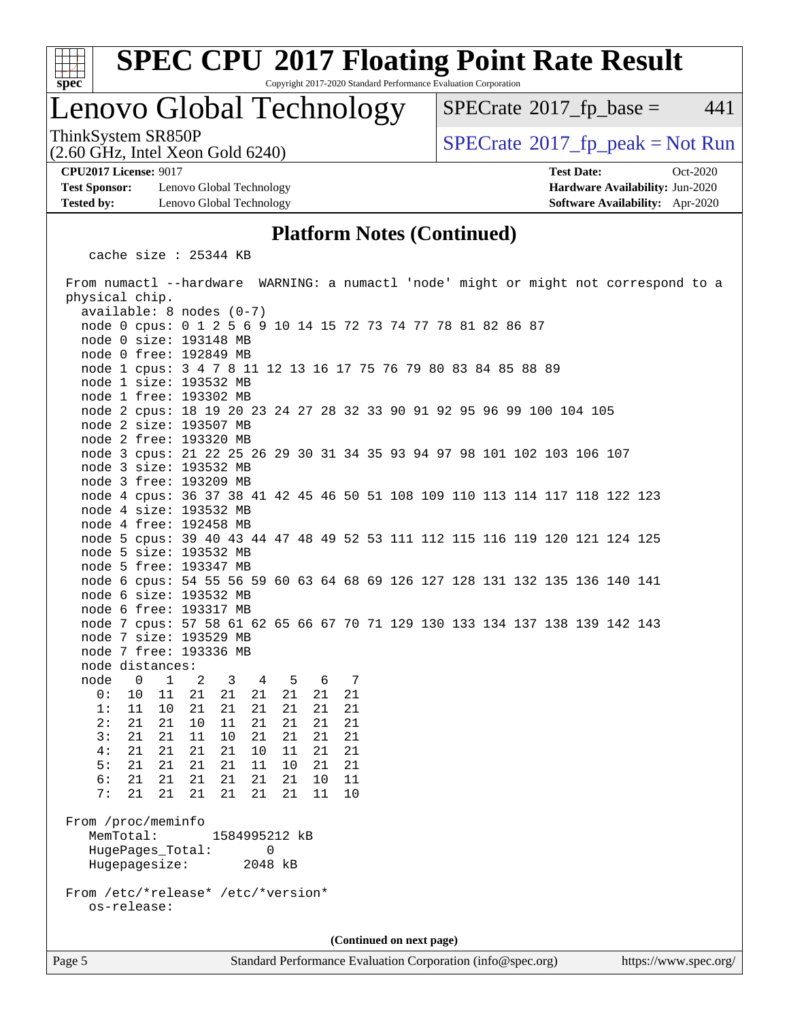

# **[SPEC CPU](http://www.spec.org/auto/cpu2017/Docs/result-fields.html#SPECCPU2017FloatingPointRateResult)[2017 Floating Point Rate Result](http://www.spec.org/auto/cpu2017/Docs/result-fields.html#SPECCPU2017FloatingPointRateResult)**

Copyright 2017-2020 Standard Performance Evaluation Corporation

### Lenovo Global Technology

 $SPECTate$ <sup>®</sup>[2017\\_fp\\_base =](http://www.spec.org/auto/cpu2017/Docs/result-fields.html#SPECrate2017fpbase) 441

ThinkSystem SR850P<br>(2.60 GHz, Intel Xeon Gold 6240)  $\begin{array}{c} | \text{SPECrate} \textdegree 2017\_fp\_peak = Not Run \end{array}$  $\begin{array}{c} | \text{SPECrate} \textdegree 2017\_fp\_peak = Not Run \end{array}$  $\begin{array}{c} | \text{SPECrate} \textdegree 2017\_fp\_peak = Not Run \end{array}$ 

**[Test Sponsor:](http://www.spec.org/auto/cpu2017/Docs/result-fields.html#TestSponsor)** Lenovo Global Technology **[Hardware Availability:](http://www.spec.org/auto/cpu2017/Docs/result-fields.html#HardwareAvailability)** Jun-2020 **[Tested by:](http://www.spec.org/auto/cpu2017/Docs/result-fields.html#Testedby)** Lenovo Global Technology **[Software Availability:](http://www.spec.org/auto/cpu2017/Docs/result-fields.html#SoftwareAvailability)** Apr-2020

(2.60 GHz, Intel Xeon Gold 6240)

**[CPU2017 License:](http://www.spec.org/auto/cpu2017/Docs/result-fields.html#CPU2017License)** 9017 **[Test Date:](http://www.spec.org/auto/cpu2017/Docs/result-fields.html#TestDate)** Oct-2020

#### **[Platform Notes \(Continued\)](http://www.spec.org/auto/cpu2017/Docs/result-fields.html#PlatformNotes)**

cache size : 25344 KB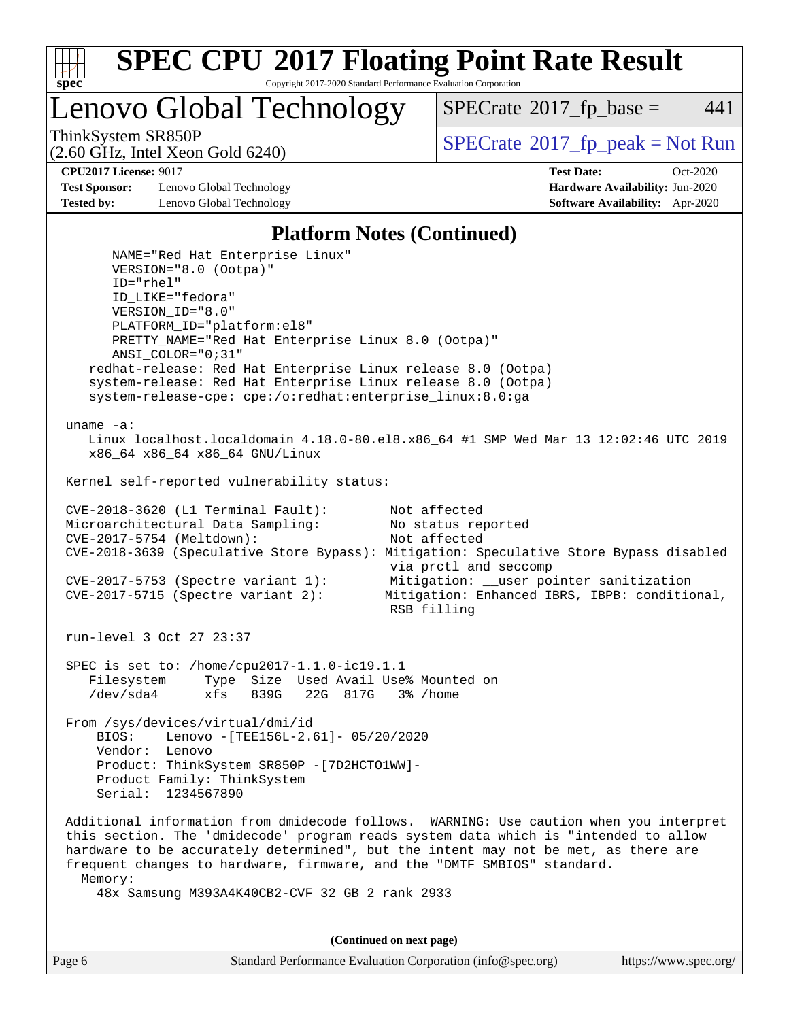

Lenovo Global Technology

 $SPECTate$ <sup>®</sup>[2017\\_fp\\_base =](http://www.spec.org/auto/cpu2017/Docs/result-fields.html#SPECrate2017fpbase) 441

(2.60 GHz, Intel Xeon Gold 6240)

ThinkSystem SR850P<br>  $SPECTI<sub>2</sub>$  [SPECrate](http://www.spec.org/auto/cpu2017/Docs/result-fields.html#SPECrate2017fppeak)®[2017\\_fp\\_peak = N](http://www.spec.org/auto/cpu2017/Docs/result-fields.html#SPECrate2017fppeak)ot Run

**[Test Sponsor:](http://www.spec.org/auto/cpu2017/Docs/result-fields.html#TestSponsor)** Lenovo Global Technology **[Hardware Availability:](http://www.spec.org/auto/cpu2017/Docs/result-fields.html#HardwareAvailability)** Jun-2020 **[Tested by:](http://www.spec.org/auto/cpu2017/Docs/result-fields.html#Testedby)** Lenovo Global Technology **[Software Availability:](http://www.spec.org/auto/cpu2017/Docs/result-fields.html#SoftwareAvailability)** Apr-2020

**[CPU2017 License:](http://www.spec.org/auto/cpu2017/Docs/result-fields.html#CPU2017License)** 9017 **[Test Date:](http://www.spec.org/auto/cpu2017/Docs/result-fields.html#TestDate)** Oct-2020

#### **[Platform Notes \(Continued\)](http://www.spec.org/auto/cpu2017/Docs/result-fields.html#PlatformNotes)**

 NAME="Red Hat Enterprise Linux" VERSION="8.0 (Ootpa)" ID="rhel" ID\_LIKE="fedora" VERSION\_ID="8.0" PLATFORM\_ID="platform:el8" PRETTY\_NAME="Red Hat Enterprise Linux 8.0 (Ootpa)" ANSI\_COLOR="0;31" redhat-release: Red Hat Enterprise Linux release 8.0 (Ootpa) system-release: Red Hat Enterprise Linux release 8.0 (Ootpa) system-release-cpe: cpe:/o:redhat:enterprise\_linux:8.0:ga uname -a: Linux localhost.localdomain 4.18.0-80.el8.x86\_64 #1 SMP Wed Mar 13 12:02:46 UTC 2019 x86\_64 x86\_64 x86\_64 GNU/Linux Kernel self-reported vulnerability status: CVE-2018-3620 (L1 Terminal Fault): Not affected<br>Microarchitectural Data Sampling: No status reported Microarchitectural Data Sampling: CVE-2017-5754 (Meltdown): Not affected CVE-2018-3639 (Speculative Store Bypass): Mitigation: Speculative Store Bypass disabled via prctl and seccomp CVE-2017-5753 (Spectre variant 1): Mitigation: \_\_user pointer sanitization CVE-2017-5715 (Spectre variant 2): Mitigation: Enhanced IBRS, IBPB: conditional, RSB filling run-level 3 Oct 27 23:37 SPEC is set to: /home/cpu2017-1.1.0-ic19.1.1 Filesystem Type Size Used Avail Use% Mounted on /dev/sda4 xfs 839G 22G 817G 3% /home From /sys/devices/virtual/dmi/id BIOS: Lenovo -[TEE156L-2.61]- 05/20/2020 Vendor: Lenovo Product: ThinkSystem SR850P -[7D2HCTO1WW]- Product Family: ThinkSystem Serial: 1234567890 Additional information from dmidecode follows. WARNING: Use caution when you interpret this section. The 'dmidecode' program reads system data which is "intended to allow hardware to be accurately determined", but the intent may not be met, as there are frequent changes to hardware, firmware, and the "DMTF SMBIOS" standard. Memory: 48x Samsung M393A4K40CB2-CVF 32 GB 2 rank 2933

**(Continued on next page)**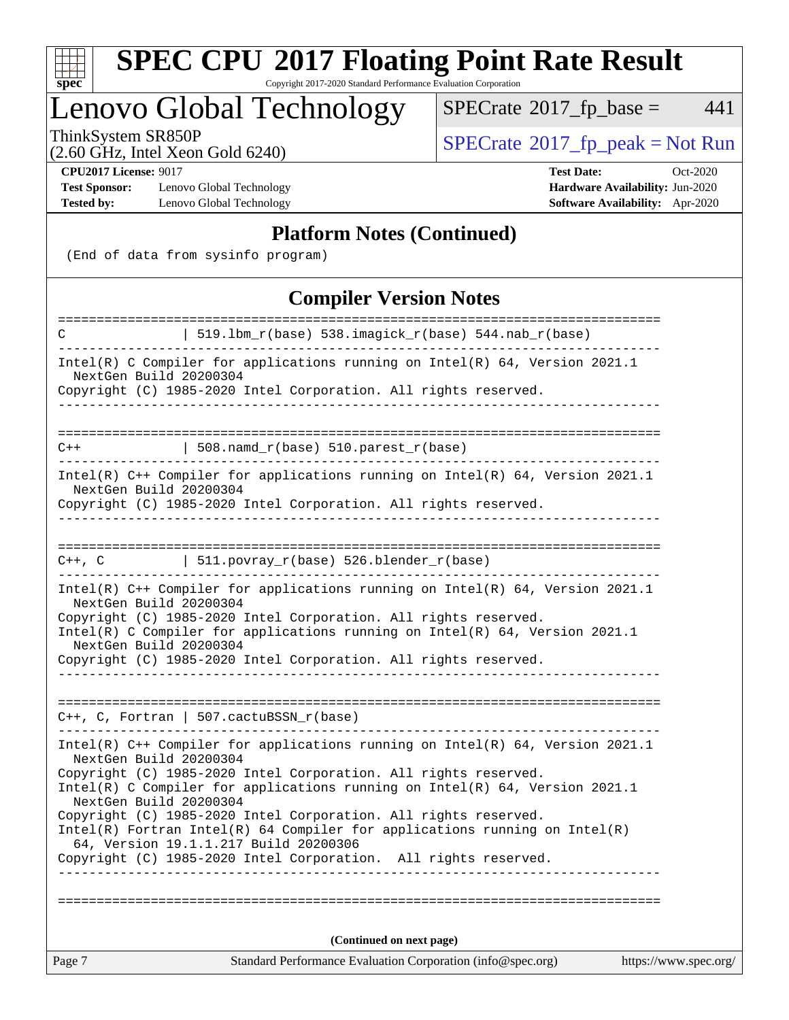

# **[SPEC CPU](http://www.spec.org/auto/cpu2017/Docs/result-fields.html#SPECCPU2017FloatingPointRateResult)[2017 Floating Point Rate Result](http://www.spec.org/auto/cpu2017/Docs/result-fields.html#SPECCPU2017FloatingPointRateResult)**

Copyright 2017-2020 Standard Performance Evaluation Corporation

## Lenovo Global Technology

 $SPECrate^{\circledast}2017_fp\_base = 441$  $SPECrate^{\circledast}2017_fp\_base = 441$ 

(2.60 GHz, Intel Xeon Gold 6240)

ThinkSystem SR850P<br>  $(2.60 \text{ GHz})$  Intel Xeon Gold 6240)

**[Test Sponsor:](http://www.spec.org/auto/cpu2017/Docs/result-fields.html#TestSponsor)** Lenovo Global Technology **[Hardware Availability:](http://www.spec.org/auto/cpu2017/Docs/result-fields.html#HardwareAvailability)** Jun-2020 **[Tested by:](http://www.spec.org/auto/cpu2017/Docs/result-fields.html#Testedby)** Lenovo Global Technology **[Software Availability:](http://www.spec.org/auto/cpu2017/Docs/result-fields.html#SoftwareAvailability)** Apr-2020

**[CPU2017 License:](http://www.spec.org/auto/cpu2017/Docs/result-fields.html#CPU2017License)** 9017 **[Test Date:](http://www.spec.org/auto/cpu2017/Docs/result-fields.html#TestDate)** Oct-2020

#### **[Platform Notes \(Continued\)](http://www.spec.org/auto/cpu2017/Docs/result-fields.html#PlatformNotes)**

(End of data from sysinfo program)

### **[Compiler Version Notes](http://www.spec.org/auto/cpu2017/Docs/result-fields.html#CompilerVersionNotes)**

| =====================<br>C                                                                                                                                                                                                                                                             | :==============<br>=======================<br>  519.1bm_r(base) 538.imagick_r(base) 544.nab_r(base)                                                |                       |  |  |  |
|----------------------------------------------------------------------------------------------------------------------------------------------------------------------------------------------------------------------------------------------------------------------------------------|----------------------------------------------------------------------------------------------------------------------------------------------------|-----------------------|--|--|--|
|                                                                                                                                                                                                                                                                                        |                                                                                                                                                    |                       |  |  |  |
| Intel(R) C Compiler for applications running on $Intel(R)$ 64, Version 2021.1<br>NextGen Build 20200304<br>Copyright (C) 1985-2020 Intel Corporation. All rights reserved.                                                                                                             |                                                                                                                                                    |                       |  |  |  |
|                                                                                                                                                                                                                                                                                        |                                                                                                                                                    |                       |  |  |  |
|                                                                                                                                                                                                                                                                                        |                                                                                                                                                    |                       |  |  |  |
| $C++$                                                                                                                                                                                                                                                                                  | 508. $n$ amd_r(base) 510. $parest$ _r(base)                                                                                                        |                       |  |  |  |
| NextGen Build 20200304                                                                                                                                                                                                                                                                 | Intel(R) C++ Compiler for applications running on Intel(R) 64, Version 2021.1<br>Copyright (C) 1985-2020 Intel Corporation. All rights reserved.   |                       |  |  |  |
|                                                                                                                                                                                                                                                                                        |                                                                                                                                                    |                       |  |  |  |
|                                                                                                                                                                                                                                                                                        | $C++$ , C $\qquad \qquad$ 511.povray_r(base) 526.blender_r(base)                                                                                   |                       |  |  |  |
| Intel(R) C++ Compiler for applications running on Intel(R) 64, Version 2021.1<br>NextGen Build 20200304<br>Copyright (C) 1985-2020 Intel Corporation. All rights reserved.<br>Intel(R) C Compiler for applications running on $Intel(R) 64$ , Version 2021.1<br>NextGen Build 20200304 |                                                                                                                                                    |                       |  |  |  |
|                                                                                                                                                                                                                                                                                        | Copyright (C) 1985-2020 Intel Corporation. All rights reserved.                                                                                    |                       |  |  |  |
|                                                                                                                                                                                                                                                                                        |                                                                                                                                                    |                       |  |  |  |
|                                                                                                                                                                                                                                                                                        | $C++$ , C, Fortran   507.cactuBSSN_r(base)                                                                                                         |                       |  |  |  |
| NextGen Build 20200304                                                                                                                                                                                                                                                                 | Intel(R) $C++$ Compiler for applications running on Intel(R) 64, Version 2021.1<br>Copyright (C) 1985-2020 Intel Corporation. All rights reserved. |                       |  |  |  |
| NextGen Build 20200304                                                                                                                                                                                                                                                                 | Intel(R) C Compiler for applications running on $Intel(R) 64$ , Version 2021.1                                                                     |                       |  |  |  |
|                                                                                                                                                                                                                                                                                        | Copyright (C) 1985-2020 Intel Corporation. All rights reserved.                                                                                    |                       |  |  |  |
|                                                                                                                                                                                                                                                                                        | $Intel(R)$ Fortran Intel(R) 64 Compiler for applications running on Intel(R)<br>64, Version 19.1.1.217 Build 20200306                              |                       |  |  |  |
|                                                                                                                                                                                                                                                                                        | Copyright (C) 1985-2020 Intel Corporation. All rights reserved.                                                                                    |                       |  |  |  |
|                                                                                                                                                                                                                                                                                        |                                                                                                                                                    |                       |  |  |  |
|                                                                                                                                                                                                                                                                                        |                                                                                                                                                    |                       |  |  |  |
| (Continued on next page)                                                                                                                                                                                                                                                               |                                                                                                                                                    |                       |  |  |  |
| Page 7                                                                                                                                                                                                                                                                                 | Standard Performance Evaluation Corporation (info@spec.org)                                                                                        | https://www.spec.org/ |  |  |  |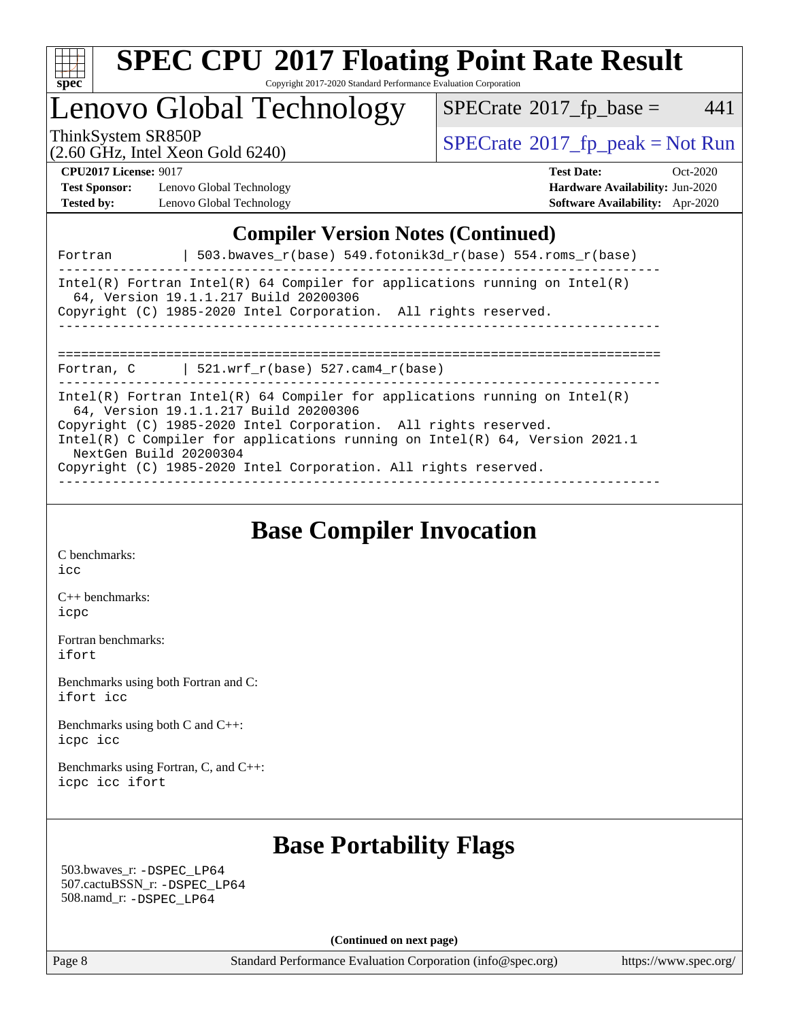

### Lenovo Global Technology

 $SPECTate$ <sup>®</sup>[2017\\_fp\\_base =](http://www.spec.org/auto/cpu2017/Docs/result-fields.html#SPECrate2017fpbase) 441

(2.60 GHz, Intel Xeon Gold 6240)

ThinkSystem SR850P<br>  $\begin{array}{c}\n\text{SPECrate} \textcirc 2017\_fp\_peak = Not Run \\
\text{SPECrate} \textcirc 2017\_fp\_peak = Not Run\n\end{array}$  $\begin{array}{c}\n\text{SPECrate} \textcirc 2017\_fp\_peak = Not Run \\
\text{SPECrate} \textcirc 2017\_fp\_peak = Not Run\n\end{array}$  $\begin{array}{c}\n\text{SPECrate} \textcirc 2017\_fp\_peak = Not Run \\
\text{SPECrate} \textcirc 2017\_fp\_peak = Not Run\n\end{array}$ 

**[Test Sponsor:](http://www.spec.org/auto/cpu2017/Docs/result-fields.html#TestSponsor)** Lenovo Global Technology **[Hardware Availability:](http://www.spec.org/auto/cpu2017/Docs/result-fields.html#HardwareAvailability)** Jun-2020 **[Tested by:](http://www.spec.org/auto/cpu2017/Docs/result-fields.html#Testedby)** Lenovo Global Technology **[Software Availability:](http://www.spec.org/auto/cpu2017/Docs/result-fields.html#SoftwareAvailability)** Apr-2020

**[CPU2017 License:](http://www.spec.org/auto/cpu2017/Docs/result-fields.html#CPU2017License)** 9017 **[Test Date:](http://www.spec.org/auto/cpu2017/Docs/result-fields.html#TestDate)** Oct-2020

#### **[Compiler Version Notes \(Continued\)](http://www.spec.org/auto/cpu2017/Docs/result-fields.html#CompilerVersionNotes)**

| Intel(R) Fortran Intel(R) 64 Compiler for applications running on Intel(R)<br>64, Version 19.1.1.217 Build 20200306<br>Copyright (C) 1985-2020 Intel Corporation. All rights reserved.<br>Fortran, C $\vert$ 521.wrf_r(base) 527.cam4_r(base)<br>Intel(R) Fortran Intel(R) 64 Compiler for applications running on Intel(R)<br>64, Version 19.1.1.217 Build 20200306<br>Copyright (C) 1985-2020 Intel Corporation. All rights reserved.<br>Intel(R) C Compiler for applications running on Intel(R) $64$ , Version 2021.1<br>NextGen Build 20200304<br>Copyright (C) 1985-2020 Intel Corporation. All rights reserved. | Fortran | $503.bwaves_r(base) 549.fotonik3d_r(base) 554.rows_r(base)$ |
|------------------------------------------------------------------------------------------------------------------------------------------------------------------------------------------------------------------------------------------------------------------------------------------------------------------------------------------------------------------------------------------------------------------------------------------------------------------------------------------------------------------------------------------------------------------------------------------------------------------------|---------|-------------------------------------------------------------|
|                                                                                                                                                                                                                                                                                                                                                                                                                                                                                                                                                                                                                        |         |                                                             |
|                                                                                                                                                                                                                                                                                                                                                                                                                                                                                                                                                                                                                        |         |                                                             |
|                                                                                                                                                                                                                                                                                                                                                                                                                                                                                                                                                                                                                        |         |                                                             |

### **[Base Compiler Invocation](http://www.spec.org/auto/cpu2017/Docs/result-fields.html#BaseCompilerInvocation)**

[C benchmarks](http://www.spec.org/auto/cpu2017/Docs/result-fields.html#Cbenchmarks): [icc](http://www.spec.org/cpu2017/results/res2020q4/cpu2017-20201109-24361.flags.html#user_CCbase_intel_icc_66fc1ee009f7361af1fbd72ca7dcefbb700085f36577c54f309893dd4ec40d12360134090235512931783d35fd58c0460139e722d5067c5574d8eaf2b3e37e92)

[C++ benchmarks:](http://www.spec.org/auto/cpu2017/Docs/result-fields.html#CXXbenchmarks) [icpc](http://www.spec.org/cpu2017/results/res2020q4/cpu2017-20201109-24361.flags.html#user_CXXbase_intel_icpc_c510b6838c7f56d33e37e94d029a35b4a7bccf4766a728ee175e80a419847e808290a9b78be685c44ab727ea267ec2f070ec5dc83b407c0218cded6866a35d07)

[Fortran benchmarks](http://www.spec.org/auto/cpu2017/Docs/result-fields.html#Fortranbenchmarks): [ifort](http://www.spec.org/cpu2017/results/res2020q4/cpu2017-20201109-24361.flags.html#user_FCbase_intel_ifort_8111460550e3ca792625aed983ce982f94888b8b503583aa7ba2b8303487b4d8a21a13e7191a45c5fd58ff318f48f9492884d4413fa793fd88dd292cad7027ca)

[Benchmarks using both Fortran and C](http://www.spec.org/auto/cpu2017/Docs/result-fields.html#BenchmarksusingbothFortranandC): [ifort](http://www.spec.org/cpu2017/results/res2020q4/cpu2017-20201109-24361.flags.html#user_CC_FCbase_intel_ifort_8111460550e3ca792625aed983ce982f94888b8b503583aa7ba2b8303487b4d8a21a13e7191a45c5fd58ff318f48f9492884d4413fa793fd88dd292cad7027ca) [icc](http://www.spec.org/cpu2017/results/res2020q4/cpu2017-20201109-24361.flags.html#user_CC_FCbase_intel_icc_66fc1ee009f7361af1fbd72ca7dcefbb700085f36577c54f309893dd4ec40d12360134090235512931783d35fd58c0460139e722d5067c5574d8eaf2b3e37e92)

[Benchmarks using both C and C++](http://www.spec.org/auto/cpu2017/Docs/result-fields.html#BenchmarksusingbothCandCXX): [icpc](http://www.spec.org/cpu2017/results/res2020q4/cpu2017-20201109-24361.flags.html#user_CC_CXXbase_intel_icpc_c510b6838c7f56d33e37e94d029a35b4a7bccf4766a728ee175e80a419847e808290a9b78be685c44ab727ea267ec2f070ec5dc83b407c0218cded6866a35d07) [icc](http://www.spec.org/cpu2017/results/res2020q4/cpu2017-20201109-24361.flags.html#user_CC_CXXbase_intel_icc_66fc1ee009f7361af1fbd72ca7dcefbb700085f36577c54f309893dd4ec40d12360134090235512931783d35fd58c0460139e722d5067c5574d8eaf2b3e37e92)

[Benchmarks using Fortran, C, and C++:](http://www.spec.org/auto/cpu2017/Docs/result-fields.html#BenchmarksusingFortranCandCXX) [icpc](http://www.spec.org/cpu2017/results/res2020q4/cpu2017-20201109-24361.flags.html#user_CC_CXX_FCbase_intel_icpc_c510b6838c7f56d33e37e94d029a35b4a7bccf4766a728ee175e80a419847e808290a9b78be685c44ab727ea267ec2f070ec5dc83b407c0218cded6866a35d07) [icc](http://www.spec.org/cpu2017/results/res2020q4/cpu2017-20201109-24361.flags.html#user_CC_CXX_FCbase_intel_icc_66fc1ee009f7361af1fbd72ca7dcefbb700085f36577c54f309893dd4ec40d12360134090235512931783d35fd58c0460139e722d5067c5574d8eaf2b3e37e92) [ifort](http://www.spec.org/cpu2017/results/res2020q4/cpu2017-20201109-24361.flags.html#user_CC_CXX_FCbase_intel_ifort_8111460550e3ca792625aed983ce982f94888b8b503583aa7ba2b8303487b4d8a21a13e7191a45c5fd58ff318f48f9492884d4413fa793fd88dd292cad7027ca)

### **[Base Portability Flags](http://www.spec.org/auto/cpu2017/Docs/result-fields.html#BasePortabilityFlags)**

 503.bwaves\_r: [-DSPEC\\_LP64](http://www.spec.org/cpu2017/results/res2020q4/cpu2017-20201109-24361.flags.html#suite_basePORTABILITY503_bwaves_r_DSPEC_LP64) 507.cactuBSSN\_r: [-DSPEC\\_LP64](http://www.spec.org/cpu2017/results/res2020q4/cpu2017-20201109-24361.flags.html#suite_basePORTABILITY507_cactuBSSN_r_DSPEC_LP64) 508.namd\_r: [-DSPEC\\_LP64](http://www.spec.org/cpu2017/results/res2020q4/cpu2017-20201109-24361.flags.html#suite_basePORTABILITY508_namd_r_DSPEC_LP64)

**(Continued on next page)**

Page 8 Standard Performance Evaluation Corporation [\(info@spec.org\)](mailto:info@spec.org) <https://www.spec.org/>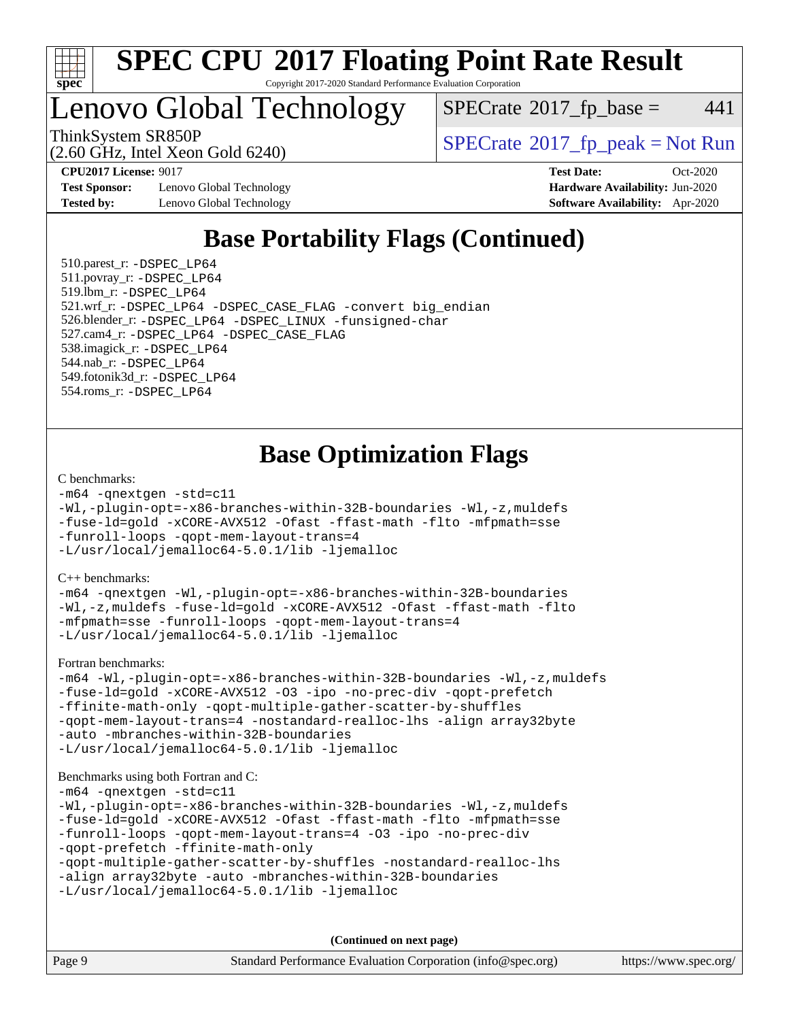

### Lenovo Global Technology

 $SPECTate$ <sup>®</sup>[2017\\_fp\\_base =](http://www.spec.org/auto/cpu2017/Docs/result-fields.html#SPECrate2017fpbase) 441

(2.60 GHz, Intel Xeon Gold 6240)

ThinkSystem SR850P<br>  $(2.60 \text{ GHz, Intel Yoon Gold } 6240)$  [SPECrate](http://www.spec.org/auto/cpu2017/Docs/result-fields.html#SPECrate2017fppeak)®[2017\\_fp\\_peak = N](http://www.spec.org/auto/cpu2017/Docs/result-fields.html#SPECrate2017fppeak)ot Run

**[Test Sponsor:](http://www.spec.org/auto/cpu2017/Docs/result-fields.html#TestSponsor)** Lenovo Global Technology **[Hardware Availability:](http://www.spec.org/auto/cpu2017/Docs/result-fields.html#HardwareAvailability)** Jun-2020 **[Tested by:](http://www.spec.org/auto/cpu2017/Docs/result-fields.html#Testedby)** Lenovo Global Technology **[Software Availability:](http://www.spec.org/auto/cpu2017/Docs/result-fields.html#SoftwareAvailability)** Apr-2020

**[CPU2017 License:](http://www.spec.org/auto/cpu2017/Docs/result-fields.html#CPU2017License)** 9017 **[Test Date:](http://www.spec.org/auto/cpu2017/Docs/result-fields.html#TestDate)** Oct-2020

### **[Base Portability Flags \(Continued\)](http://www.spec.org/auto/cpu2017/Docs/result-fields.html#BasePortabilityFlags)**

 510.parest\_r: [-DSPEC\\_LP64](http://www.spec.org/cpu2017/results/res2020q4/cpu2017-20201109-24361.flags.html#suite_basePORTABILITY510_parest_r_DSPEC_LP64) 511.povray\_r: [-DSPEC\\_LP64](http://www.spec.org/cpu2017/results/res2020q4/cpu2017-20201109-24361.flags.html#suite_basePORTABILITY511_povray_r_DSPEC_LP64) 519.lbm\_r: [-DSPEC\\_LP64](http://www.spec.org/cpu2017/results/res2020q4/cpu2017-20201109-24361.flags.html#suite_basePORTABILITY519_lbm_r_DSPEC_LP64) 521.wrf\_r: [-DSPEC\\_LP64](http://www.spec.org/cpu2017/results/res2020q4/cpu2017-20201109-24361.flags.html#suite_basePORTABILITY521_wrf_r_DSPEC_LP64) [-DSPEC\\_CASE\\_FLAG](http://www.spec.org/cpu2017/results/res2020q4/cpu2017-20201109-24361.flags.html#b521.wrf_r_baseCPORTABILITY_DSPEC_CASE_FLAG) [-convert big\\_endian](http://www.spec.org/cpu2017/results/res2020q4/cpu2017-20201109-24361.flags.html#user_baseFPORTABILITY521_wrf_r_convert_big_endian_c3194028bc08c63ac5d04de18c48ce6d347e4e562e8892b8bdbdc0214820426deb8554edfa529a3fb25a586e65a3d812c835984020483e7e73212c4d31a38223) 526.blender\_r: [-DSPEC\\_LP64](http://www.spec.org/cpu2017/results/res2020q4/cpu2017-20201109-24361.flags.html#suite_basePORTABILITY526_blender_r_DSPEC_LP64) [-DSPEC\\_LINUX](http://www.spec.org/cpu2017/results/res2020q4/cpu2017-20201109-24361.flags.html#b526.blender_r_baseCPORTABILITY_DSPEC_LINUX) [-funsigned-char](http://www.spec.org/cpu2017/results/res2020q4/cpu2017-20201109-24361.flags.html#user_baseCPORTABILITY526_blender_r_force_uchar_40c60f00ab013830e2dd6774aeded3ff59883ba5a1fc5fc14077f794d777847726e2a5858cbc7672e36e1b067e7e5c1d9a74f7176df07886a243d7cc18edfe67) 527.cam4\_r: [-DSPEC\\_LP64](http://www.spec.org/cpu2017/results/res2020q4/cpu2017-20201109-24361.flags.html#suite_basePORTABILITY527_cam4_r_DSPEC_LP64) [-DSPEC\\_CASE\\_FLAG](http://www.spec.org/cpu2017/results/res2020q4/cpu2017-20201109-24361.flags.html#b527.cam4_r_baseCPORTABILITY_DSPEC_CASE_FLAG) 538.imagick\_r: [-DSPEC\\_LP64](http://www.spec.org/cpu2017/results/res2020q4/cpu2017-20201109-24361.flags.html#suite_basePORTABILITY538_imagick_r_DSPEC_LP64) 544.nab\_r: [-DSPEC\\_LP64](http://www.spec.org/cpu2017/results/res2020q4/cpu2017-20201109-24361.flags.html#suite_basePORTABILITY544_nab_r_DSPEC_LP64) 549.fotonik3d\_r: [-DSPEC\\_LP64](http://www.spec.org/cpu2017/results/res2020q4/cpu2017-20201109-24361.flags.html#suite_basePORTABILITY549_fotonik3d_r_DSPEC_LP64) 554.roms\_r: [-DSPEC\\_LP64](http://www.spec.org/cpu2017/results/res2020q4/cpu2017-20201109-24361.flags.html#suite_basePORTABILITY554_roms_r_DSPEC_LP64)

### **[Base Optimization Flags](http://www.spec.org/auto/cpu2017/Docs/result-fields.html#BaseOptimizationFlags)**

#### [C benchmarks](http://www.spec.org/auto/cpu2017/Docs/result-fields.html#Cbenchmarks):

```
-m64 -qnextgen -std=c11
-Wl,-plugin-opt=-x86-branches-within-32B-boundaries -Wl,-z,muldefs
-fuse-ld=gold -xCORE-AVX512 -Ofast -ffast-math -flto -mfpmath=sse
-funroll-loops -qopt-mem-layout-trans=4
-L/usr/local/jemalloc64-5.0.1/lib -ljemalloc
```
[C++ benchmarks:](http://www.spec.org/auto/cpu2017/Docs/result-fields.html#CXXbenchmarks)

[-m64](http://www.spec.org/cpu2017/results/res2020q4/cpu2017-20201109-24361.flags.html#user_CXXbase_m64-icc) [-qnextgen](http://www.spec.org/cpu2017/results/res2020q4/cpu2017-20201109-24361.flags.html#user_CXXbase_f-qnextgen) [-Wl,-plugin-opt=-x86-branches-within-32B-boundaries](http://www.spec.org/cpu2017/results/res2020q4/cpu2017-20201109-24361.flags.html#user_CXXbase_f-x86-branches-within-32B-boundaries_0098b4e4317ae60947b7b728078a624952a08ac37a3c797dfb4ffeb399e0c61a9dd0f2f44ce917e9361fb9076ccb15e7824594512dd315205382d84209e912f3) [-Wl,-z,muldefs](http://www.spec.org/cpu2017/results/res2020q4/cpu2017-20201109-24361.flags.html#user_CXXbase_link_force_multiple1_b4cbdb97b34bdee9ceefcfe54f4c8ea74255f0b02a4b23e853cdb0e18eb4525ac79b5a88067c842dd0ee6996c24547a27a4b99331201badda8798ef8a743f577) [-fuse-ld=gold](http://www.spec.org/cpu2017/results/res2020q4/cpu2017-20201109-24361.flags.html#user_CXXbase_f-fuse-ld_920b3586e2b8c6e0748b9c84fa9b744736ba725a32cab14ad8f3d4ad28eecb2f59d1144823d2e17006539a88734fe1fc08fc3035f7676166309105a78aaabc32) [-xCORE-AVX512](http://www.spec.org/cpu2017/results/res2020q4/cpu2017-20201109-24361.flags.html#user_CXXbase_f-xCORE-AVX512) [-Ofast](http://www.spec.org/cpu2017/results/res2020q4/cpu2017-20201109-24361.flags.html#user_CXXbase_f-Ofast) [-ffast-math](http://www.spec.org/cpu2017/results/res2020q4/cpu2017-20201109-24361.flags.html#user_CXXbase_f-ffast-math) [-flto](http://www.spec.org/cpu2017/results/res2020q4/cpu2017-20201109-24361.flags.html#user_CXXbase_f-flto) [-mfpmath=sse](http://www.spec.org/cpu2017/results/res2020q4/cpu2017-20201109-24361.flags.html#user_CXXbase_f-mfpmath_70eb8fac26bde974f8ab713bc9086c5621c0b8d2f6c86f38af0bd7062540daf19db5f3a066d8c6684be05d84c9b6322eb3b5be6619d967835195b93d6c02afa1) [-funroll-loops](http://www.spec.org/cpu2017/results/res2020q4/cpu2017-20201109-24361.flags.html#user_CXXbase_f-funroll-loops) [-qopt-mem-layout-trans=4](http://www.spec.org/cpu2017/results/res2020q4/cpu2017-20201109-24361.flags.html#user_CXXbase_f-qopt-mem-layout-trans_fa39e755916c150a61361b7846f310bcdf6f04e385ef281cadf3647acec3f0ae266d1a1d22d972a7087a248fd4e6ca390a3634700869573d231a252c784941a8) [-L/usr/local/jemalloc64-5.0.1/lib](http://www.spec.org/cpu2017/results/res2020q4/cpu2017-20201109-24361.flags.html#user_CXXbase_jemalloc_link_path64_1_cc289568b1a6c0fd3b62c91b824c27fcb5af5e8098e6ad028160d21144ef1b8aef3170d2acf0bee98a8da324cfe4f67d0a3d0c4cc4673d993d694dc2a0df248b) [-ljemalloc](http://www.spec.org/cpu2017/results/res2020q4/cpu2017-20201109-24361.flags.html#user_CXXbase_jemalloc_link_lib_d1249b907c500fa1c0672f44f562e3d0f79738ae9e3c4a9c376d49f265a04b9c99b167ecedbf6711b3085be911c67ff61f150a17b3472be731631ba4d0471706)

[Fortran benchmarks](http://www.spec.org/auto/cpu2017/Docs/result-fields.html#Fortranbenchmarks):

```
-m64 -Wl,-plugin-opt=-x86-branches-within-32B-boundaries -Wl,-z,muldefs
-fuse-ld=gold -xCORE-AVX512 -O3 -ipo -no-prec-div -qopt-prefetch
-ffinite-math-only -qopt-multiple-gather-scatter-by-shuffles
-qopt-mem-layout-trans=4 -nostandard-realloc-lhs -align array32byte
-auto -mbranches-within-32B-boundaries
-L/usr/local/jemalloc64-5.0.1/lib -ljemalloc
```
#### [Benchmarks using both Fortran and C](http://www.spec.org/auto/cpu2017/Docs/result-fields.html#BenchmarksusingbothFortranandC):

```
-m64 -qnextgen -std=c11
-Wl,-plugin-opt=-x86-branches-within-32B-boundaries -Wl,-z,muldefs
-fuse-ld=gold -xCORE-AVX512 -Ofast -ffast-math -flto -mfpmath=sse
-funroll-loops -qopt-mem-layout-trans=4 -O3 -ipo -no-prec-div
-qopt-prefetch -ffinite-math-only
-qopt-multiple-gather-scatter-by-shuffles -nostandard-realloc-lhs
-align array32byte -auto -mbranches-within-32B-boundaries
-L/usr/local/jemalloc64-5.0.1/lib -ljemalloc
```
**(Continued on next page)**

| Page 9 | Standard Performance Evaluation Corporation (info@spec.org) | https://www.spec.org/ |
|--------|-------------------------------------------------------------|-----------------------|
|--------|-------------------------------------------------------------|-----------------------|